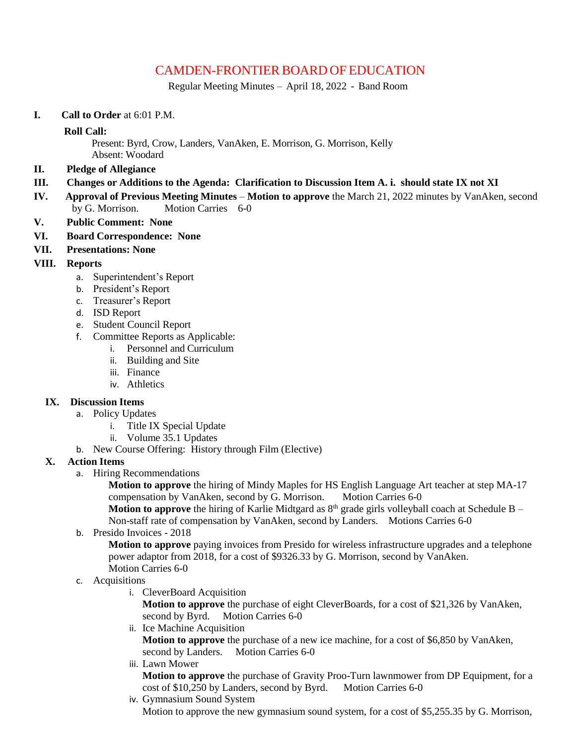# CAMDEN-FRONTIER BOARD OF EDUCATION

Regular Meeting Minutes – April 18, 2022 - Band Room

**I. Call to Order** at 6:01 P.M.

#### **Roll Call:**

Present: Byrd, Crow, Landers, VanAken, E. Morrison, G. Morrison, Kelly

- Absent: Woodard
- **II. Pledge of Allegiance**

### **III. Changes or Additions to the Agenda: Clarification to Discussion Item A. i. should state IX not XI**

- **IV. Approval of Previous Meeting Minutes Motion to approve** the March 21, 2022 minutes by VanAken, second by G. Morrison. Motion Carries 6-0
- **V. Public Comment: None**
- **VI. Board Correspondence: None**
- **VII. Presentations: None**

### **VIII. Reports**

- a. Superintendent's Report
- b. President's Report
- c. Treasurer's Report
- d. ISD Report
- e. Student Council Report
- f. Committee Reports as Applicable:
	- i. Personnel and Curriculum
	- ii. Building and Site
	- iii. Finance
	- iv. Athletics

# **IX. Discussion Items**

- a. Policy Updates
	- i. Title IX Special Update
	- ii. Volume 35.1 Updates
- b. New Course Offering: History through Film (Elective)

# **X. Action Items**

a. Hiring Recommendations

**Motion to approve** the hiring of Mindy Maples for HS English Language Art teacher at step MA-17 compensation by VanAken, second by G. Morrison. Motion Carries 6-0 **Motion to approve** the hiring of Karlie Midtgard as  $8<sup>th</sup>$  grade girls volleyball coach at Schedule B –

- Non-staff rate of compensation by VanAken, second by Landers. Motions Carries 6-0
- b. Presido Invoices 2018

**Motion to approve** paying invoices from Presido for wireless infrastructure upgrades and a telephone power adaptor from 2018, for a cost of \$9326.33 by G. Morrison, second by VanAken. Motion Carries 6-0

# c. Acquisitions

i. CleverBoard Acquisition

**Motion to approve** the purchase of eight CleverBoards, for a cost of \$21,326 by VanAken, second by Byrd. Motion Carries 6-0

ii. Ice Machine Acquisition

**Motion to approve** the purchase of a new ice machine, for a cost of \$6,850 by VanAken, second by Landers. Motion Carries 6-0

iii. Lawn Mower

**Motion to approve** the purchase of Gravity Proo-Turn lawnmower from DP Equipment, for a cost of \$10,250 by Landers, second by Byrd. Motion Carries 6-0

iv. Gymnasium Sound System

Motion to approve the new gymnasium sound system, for a cost of \$5,255.35 by G. Morrison,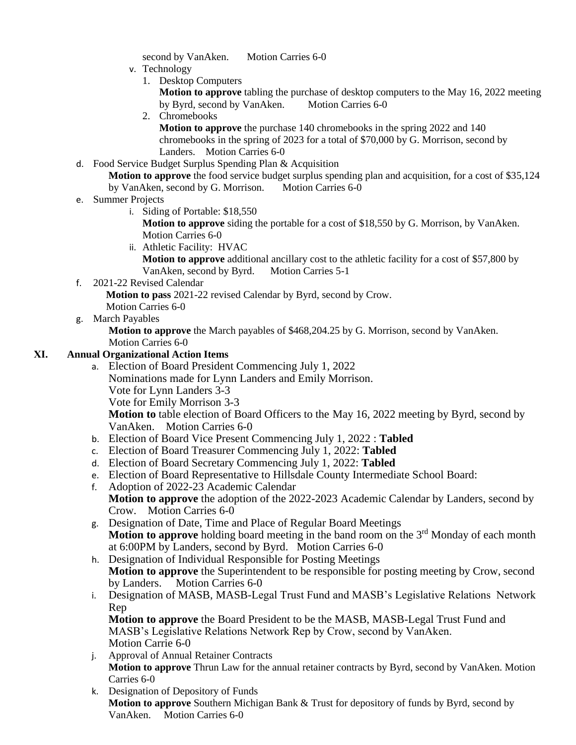second by VanAken. Motion Carries 6-0

- v. Technology
	- 1. Desktop Computers
		- **Motion to approve** tabling the purchase of desktop computers to the May 16, 2022 meeting by Byrd, second by VanAken. Motion Carries 6-0
	- 2. Chromebooks

**Motion to approve** the purchase 140 chromebooks in the spring 2022 and 140 chromebooks in the spring of 2023 for a total of \$70,000 by G. Morrison, second by Landers. Motion Carries 6-0

d. Food Service Budget Surplus Spending Plan & Acquisition

**Motion to approve** the food service budget surplus spending plan and acquisition, for a cost of \$35,124 by VanAken, second by G. Morrison. Motion Carries 6-0

- e. Summer Projects
	- i. Siding of Portable: \$18,550

**Motion to approve** siding the portable for a cost of \$18,550 by G. Morrison, by VanAken. Motion Carries 6-0

ii. Athletic Facility: HVAC

**Motion to approve** additional ancillary cost to the athletic facility for a cost of \$57,800 by VanAken, second by Byrd. Motion Carries 5-1

f. 2021-22 Revised Calendar

**Motion to pass** 2021-22 revised Calendar by Byrd, second by Crow.

Motion Carries 6-0

g. March Payables

**Motion to approve** the March payables of \$468,204.25 by G. Morrison, second by VanAken. Motion Carries 6-0

#### **XI. Annual Organizational Action Items**

- a. Election of Board President Commencing July 1, 2022 Nominations made for Lynn Landers and Emily Morrison. Vote for Lynn Landers 3-3 Vote for Emily Morrison 3-3 **Motion to** table election of Board Officers to the May 16, 2022 meeting by Byrd, second by VanAken. Motion Carries 6-0
- b. Election of Board Vice Present Commencing July 1, 2022 : **Tabled**
- c. Election of Board Treasurer Commencing July 1, 2022: **Tabled**
- d. Election of Board Secretary Commencing July 1, 2022: **Tabled**
- e. Election of Board Representative to Hillsdale County Intermediate School Board:
- f. Adoption of 2022-23 Academic Calendar **Motion to approve** the adoption of the 2022-2023 Academic Calendar by Landers, second by Crow. Motion Carries 6-0
- g. Designation of Date, Time and Place of Regular Board Meetings Motion to approve holding board meeting in the band room on the 3<sup>rd</sup> Monday of each month at 6:00PM by Landers, second by Byrd. Motion Carries 6-0
- h. Designation of Individual Responsible for Posting Meetings **Motion to approve** the Superintendent to be responsible for posting meeting by Crow, second by Landers. Motion Carries 6-0
- i. Designation of MASB, MASB-Legal Trust Fund and MASB's Legislative Relations Network Rep

**Motion to approve** the Board President to be the MASB, MASB-Legal Trust Fund and MASB's Legislative Relations Network Rep by Crow, second by VanAken. Motion Carrie 6-0

- j. Approval of Annual Retainer Contracts **Motion to approve** Thrun Law for the annual retainer contracts by Byrd, second by VanAken. Motion Carries 6-0
- k. Designation of Depository of Funds **Motion to approve** Southern Michigan Bank & Trust for depository of funds by Byrd, second by VanAken. Motion Carries 6-0